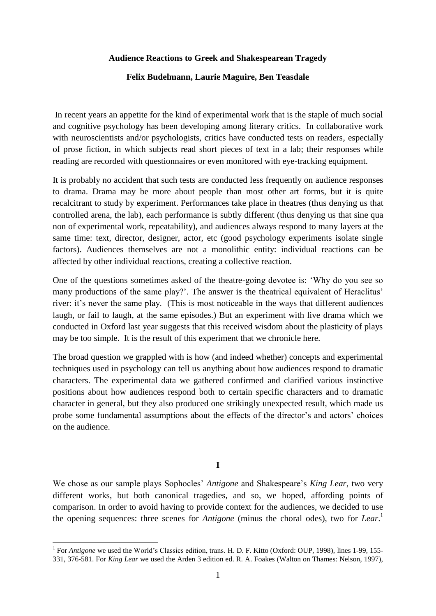### **Audience Reactions to Greek and Shakespearean Tragedy**

# **Felix Budelmann, Laurie Maguire, Ben Teasdale**

In recent years an appetite for the kind of experimental work that is the staple of much social and cognitive psychology has been developing among literary critics. In collaborative work with neuroscientists and/or psychologists, critics have conducted tests on readers, especially of prose fiction, in which subjects read short pieces of text in a lab; their responses while reading are recorded with questionnaires or even monitored with eye-tracking equipment.

It is probably no accident that such tests are conducted less frequently on audience responses to drama. Drama may be more about people than most other art forms, but it is quite recalcitrant to study by experiment. Performances take place in theatres (thus denying us that controlled arena, the lab), each performance is subtly different (thus denying us that sine qua non of experimental work, repeatability), and audiences always respond to many layers at the same time: text, director, designer, actor, etc (good psychology experiments isolate single factors). Audiences themselves are not a monolithic entity: individual reactions can be affected by other individual reactions, creating a collective reaction.

One of the questions sometimes asked of the theatre-going devotee is: 'Why do you see so many productions of the same play?'. The answer is the theatrical equivalent of Heraclitus' river: it's never the same play. (This is most noticeable in the ways that different audiences laugh, or fail to laugh, at the same episodes.) But an experiment with live drama which we conducted in Oxford last year suggests that this received wisdom about the plasticity of plays may be too simple. It is the result of this experiment that we chronicle here.

The broad question we grappled with is how (and indeed whether) concepts and experimental techniques used in psychology can tell us anything about how audiences respond to dramatic characters. The experimental data we gathered confirmed and clarified various instinctive positions about how audiences respond both to certain specific characters and to dramatic character in general, but they also produced one strikingly unexpected result, which made us probe some fundamental assumptions about the effects of the director's and actors' choices on the audience.

**I**

We chose as our sample plays Sophocles' *Antigone* and Shakespeare's *King Lear*, two very different works, but both canonical tragedies, and so, we hoped, affording points of comparison. In order to avoid having to provide context for the audiences, we decided to use the opening sequences: three scenes for *Antigone* (minus the choral odes), two for *Lear*. 1

1

<sup>&</sup>lt;sup>1</sup> For *Antigone* we used the World's Classics edition, trans. H. D. F. Kitto (Oxford: OUP, 1998), lines 1-99, 155-331, 376-581. For *King Lear* we used the Arden 3 edition ed. R. A. Foakes (Walton on Thames: Nelson, 1997),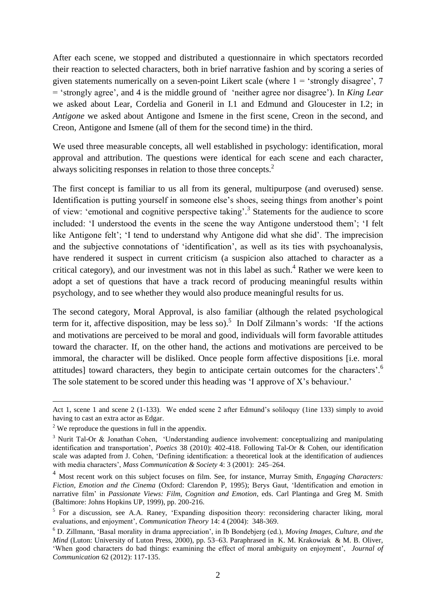After each scene, we stopped and distributed a questionnaire in which spectators recorded their reaction to selected characters, both in brief narrative fashion and by scoring a series of given statements numerically on a seven-point Likert scale (where  $1 =$  'strongly disagree',  $7$ = 'strongly agree', and 4 is the middle ground of 'neither agree nor disagree'). In *King Lear*  we asked about Lear, Cordelia and Goneril in I.1 and Edmund and Gloucester in I.2; in *Antigone* we asked about Antigone and Ismene in the first scene, Creon in the second, and Creon, Antigone and Ismene (all of them for the second time) in the third.

We used three measurable concepts, all well established in psychology: identification, moral approval and attribution. The questions were identical for each scene and each character, always soliciting responses in relation to those three concepts.<sup>2</sup>

The first concept is familiar to us all from its general, multipurpose (and overused) sense. Identification is putting yourself in someone else's shoes, seeing things from another's point of view: 'emotional and cognitive perspective taking'.<sup>3</sup> Statements for the audience to score included: 'I understood the events in the scene the way Antigone understood them'; 'I felt like Antigone felt'; 'I tend to understand why Antigone did what she did'. The imprecision and the subjective connotations of 'identification', as well as its ties with psychoanalysis, have rendered it suspect in current criticism (a suspicion also attached to character as a critical category), and our investment was not in this label as such.<sup>4</sup> Rather we were keen to adopt a set of questions that have a track record of producing meaningful results within psychology, and to see whether they would also produce meaningful results for us.

The second category, Moral Approval, is also familiar (although the related psychological term for it, affective disposition, may be less so).<sup>5</sup> In Dolf Zilmann's words: 'If the actions and motivations are perceived to be moral and good, individuals will form favorable attitudes toward the character. If, on the other hand, the actions and motivations are perceived to be immoral, the character will be disliked. Once people form affective dispositions [i.e. moral attitudes] toward characters, they begin to anticipate certain outcomes for the characters'.<sup>6</sup> The sole statement to be scored under this heading was 'I approve of X's behaviour.'

Act 1, scene 1 and scene 2 (1-133). We ended scene 2 after Edmund's soliloquy (1ine 133) simply to avoid having to cast an extra actor as Edgar.

 $2$  We reproduce the questions in full in the appendix.

<sup>&</sup>lt;sup>3</sup> Nurit Tal-Or & Jonathan Cohen, 'Understanding audience involvement: conceptualizing and manipulating identification and transportation', *Poetics* 38 (2010): 402-418. Following Tal-Or & Cohen, our identification scale was adapted from J. Cohen, 'Defining identification: a theoretical look at the identification of audiences with media characters', *Mass Communication & Society* 4: 3 (2001): 245–264.

<sup>4</sup> Most recent work on this subject focuses on film. See, for instance, Murray Smith, *Engaging Characters: Fiction, Emotion and the Cinema* (Oxford: Clarendon P, 1995); Berys Gaut, 'Identification and emotion in narrative film' in *Passionate Views: Film, Cognition and Emotion*, eds. Carl Plantinga and Greg M. Smith (Baltimore: Johns Hopkins UP, 1999), pp. 200-216.

<sup>&</sup>lt;sup>5</sup> For a discussion, see A.A. Raney, 'Expanding disposition theory: reconsidering character liking, moral evaluations, and enjoyment', *Communication Theory* 14: 4 (2004): 348-369.

<sup>6</sup> D. Zillmann, 'Basal morality in drama appreciation', in Ib Bondebjerg (ed.), *Moving Images, Culture, and the Mind* (Luton: University of Luton Press, 2000), pp. 53–63. Paraphrased in K. M. Krakowiak & M. B. Oliver, 'When good characters do bad things: examining the effect of moral ambiguity on enjoyment', *Journal of Communication* 62 (2012): 117-135.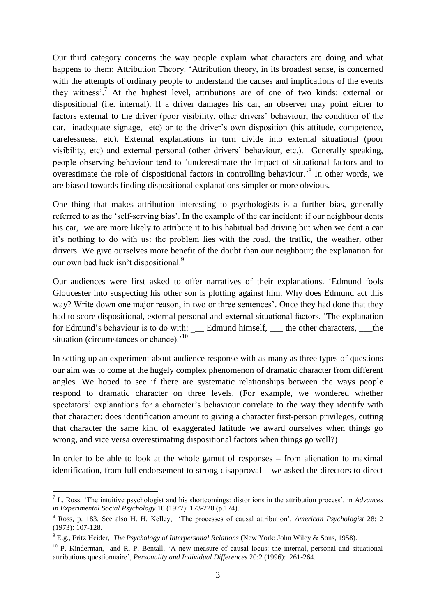Our third category concerns the way people explain what characters are doing and what happens to them: Attribution Theory. 'Attribution theory, in its broadest sense, is concerned with the attempts of ordinary people to understand the causes and implications of the events they witness'. <sup>7</sup> At the highest level, attributions are of one of two kinds: external or dispositional (i.e. internal). If a driver damages his car, an observer may point either to factors external to the driver (poor visibility, other drivers' behaviour, the condition of the car, inadequate signage, etc) or to the driver's own disposition (his attitude, competence, carelessness, etc). External explanations in turn divide into external situational (poor visibility, etc) and external personal (other drivers' behaviour, etc.). Generally speaking, people observing behaviour tend to 'underestimate the impact of situational factors and to overestimate the role of dispositional factors in controlling behaviour.<sup>8</sup> In other words, we are biased towards finding dispositional explanations simpler or more obvious.

One thing that makes attribution interesting to psychologists is a further bias, generally referred to as the 'self-serving bias'. In the example of the car incident: if our neighbour dents his car, we are more likely to attribute it to his habitual bad driving but when we dent a car it's nothing to do with us: the problem lies with the road, the traffic, the weather, other drivers. We give ourselves more benefit of the doubt than our neighbour; the explanation for our own bad luck isn't dispositional.<sup>9</sup>

Our audiences were first asked to offer narratives of their explanations. 'Edmund fools Gloucester into suspecting his other son is plotting against him. Why does Edmund act this way? Write down one major reason, in two or three sentences'. Once they had done that they had to score dispositional, external personal and external situational factors. 'The explanation for Edmund's behaviour is to do with: \_\_\_ Edmund himself, \_\_\_ the other characters, \_\_\_the situation (circumstances or chance).<sup>'10</sup>

In setting up an experiment about audience response with as many as three types of questions our aim was to come at the hugely complex phenomenon of dramatic character from different angles. We hoped to see if there are systematic relationships between the ways people respond to dramatic character on three levels. (For example, we wondered whether spectators' explanations for a character's behaviour correlate to the way they identify with that character: does identification amount to giving a character first-person privileges, cutting that character the same kind of exaggerated latitude we award ourselves when things go wrong, and vice versa overestimating dispositional factors when things go well?)

In order to be able to look at the whole gamut of responses – from alienation to maximal identification, from full endorsement to strong disapproval – we asked the directors to direct

1

<sup>7</sup> L. Ross, 'The intuitive psychologist and his shortcomings: distortions in the attribution process', in *Advances in Experimental Social Psychology* 10 (1977): 173-220 (p.174).

<sup>8</sup> Ross, p. 183. See also H. H. Kelley, 'The processes of causal attribution', *American Psychologist* 28: 2 (1973): 107-128.

<sup>9</sup> E.g., Fritz Heider, *The Psychology of Interpersonal Relations* (New York: John Wiley & Sons, 1958).

 $10$  P. Kinderman, and R. P. Bentall, 'A new measure of causal locus: the internal, personal and situational attributions questionnaire', *Personality and Individual Differences* 20:2 (1996): 261-264.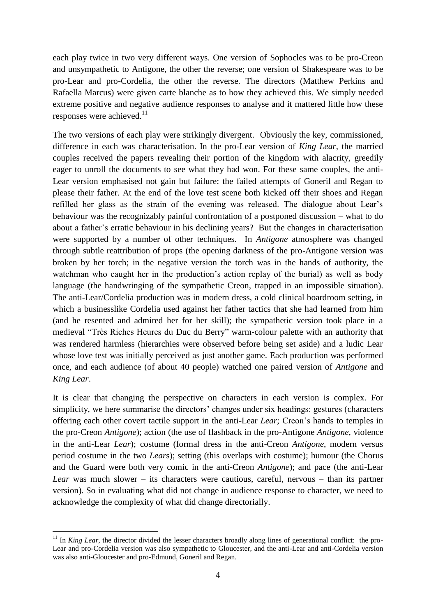each play twice in two very different ways. One version of Sophocles was to be pro-Creon and unsympathetic to Antigone, the other the reverse; one version of Shakespeare was to be pro-Lear and pro-Cordelia, the other the reverse. The directors (Matthew Perkins and Rafaella Marcus) were given carte blanche as to how they achieved this. We simply needed extreme positive and negative audience responses to analyse and it mattered little how these responses were achieved.<sup>11</sup>

The two versions of each play were strikingly divergent. Obviously the key, commissioned, difference in each was characterisation. In the pro-Lear version of *King Lear*, the married couples received the papers revealing their portion of the kingdom with alacrity, greedily eager to unroll the documents to see what they had won. For these same couples, the anti-Lear version emphasised not gain but failure: the failed attempts of Goneril and Regan to please their father. At the end of the love test scene both kicked off their shoes and Regan refilled her glass as the strain of the evening was released. The dialogue about Lear's behaviour was the recognizably painful confrontation of a postponed discussion – what to do about a father's erratic behaviour in his declining years? But the changes in characterisation were supported by a number of other techniques. In *Antigone* atmosphere was changed through subtle reattribution of props (the opening darkness of the pro-Antigone version was broken by her torch; in the negative version the torch was in the hands of authority, the watchman who caught her in the production's action replay of the burial) as well as body language (the handwringing of the sympathetic Creon, trapped in an impossible situation). The anti-Lear/Cordelia production was in modern dress, a cold clinical boardroom setting, in which a businesslike Cordelia used against her father tactics that she had learned from him (and he resented and admired her for her skill); the sympathetic version took place in a medieval "Très Riches Heures du Duc du Berry" warm-colour palette with an authority that was rendered harmless (hierarchies were observed before being set aside) and a ludic Lear whose love test was initially perceived as just another game. Each production was performed once, and each audience (of about 40 people) watched one paired version of *Antigone* and *King Lear*.

It is clear that changing the perspective on characters in each version is complex. For simplicity, we here summarise the directors' changes under six headings: gestures (characters offering each other covert tactile support in the anti-Lear *Lear*; Creon's hands to temples in the pro-Creon *Antigone*); action (the use of flashback in the pro-Antigone *Antigone*, violence in the anti-Lear *Lear*); costume (formal dress in the anti-Creon *Antigone*, modern versus period costume in the two *Lear*s); setting (this overlaps with costume); humour (the Chorus and the Guard were both very comic in the anti-Creon *Antigone*); and pace (the anti-Lear *Lear* was much slower – its characters were cautious, careful, nervous – than its partner version). So in evaluating what did not change in audience response to character, we need to acknowledge the complexity of what did change directorially.

<sup>&</sup>lt;sup>11</sup> In *King Lear*, the director divided the lesser characters broadly along lines of generational conflict: the pro-Lear and pro-Cordelia version was also sympathetic to Gloucester, and the anti-Lear and anti-Cordelia version was also anti-Gloucester and pro-Edmund, Goneril and Regan.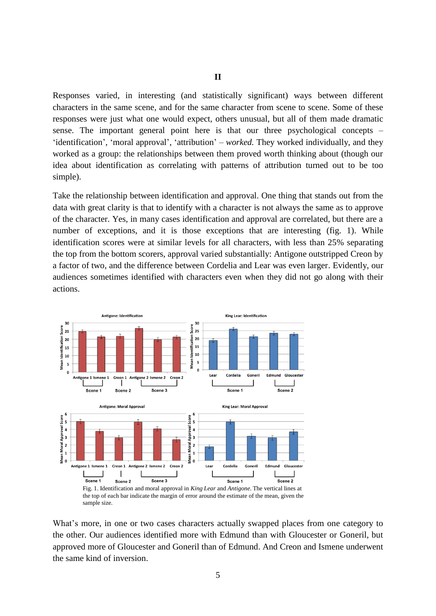## **II**

Responses varied, in interesting (and statistically significant) ways between different characters in the same scene, and for the same character from scene to scene. Some of these responses were just what one would expect, others unusual, but all of them made dramatic sense. The important general point here is that our three psychological concepts – 'identification', 'moral approval', 'attribution' – *worked.* They worked individually, and they worked as a group: the relationships between them proved worth thinking about (though our idea about identification as correlating with patterns of attribution turned out to be too simple).

Take the relationship between identification and approval. One thing that stands out from the data with great clarity is that to identify with a character is not always the same as to approve of the character. Yes, in many cases identification and approval are correlated, but there are a number of exceptions, and it is those exceptions that are interesting (fig. 1). While identification scores were at similar levels for all characters, with less than 25% separating the top from the bottom scorers, approval varied substantially: Antigone outstripped Creon by a factor of two, and the difference between Cordelia and Lear was even larger. Evidently, our audiences sometimes identified with characters even when they did not go along with their actions.



the top of each bar indicate the margin of error around the estimate of the mean, given the sample size.

What's more, in one or two cases characters actually swapped places from one category to the other. Our audiences identified more with Edmund than with Gloucester or Goneril, but approved more of Gloucester and Goneril than of Edmund. And Creon and Ismene underwent the same kind of inversion.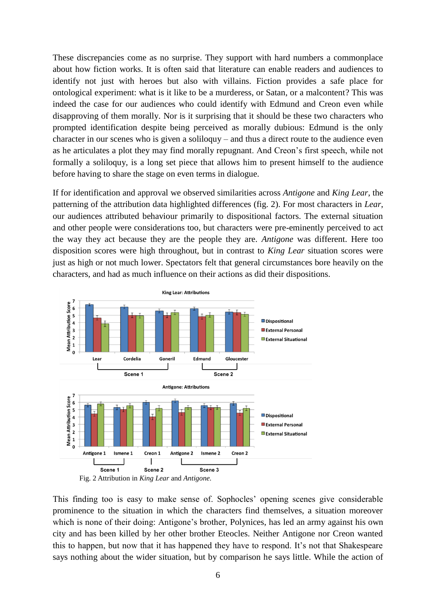These discrepancies come as no surprise. They support with hard numbers a commonplace about how fiction works. It is often said that literature can enable readers and audiences to identify not just with heroes but also with villains. Fiction provides a safe place for ontological experiment: what is it like to be a murderess, or Satan, or a malcontent? This was indeed the case for our audiences who could identify with Edmund and Creon even while disapproving of them morally. Nor is it surprising that it should be these two characters who prompted identification despite being perceived as morally dubious: Edmund is the only character in our scenes who is given a soliloquy – and thus a direct route to the audience even as he articulates a plot they may find morally repugnant. And Creon's first speech, while not formally a soliloquy, is a long set piece that allows him to present himself to the audience before having to share the stage on even terms in dialogue.

If for identification and approval we observed similarities across *Antigone* and *King Lear*, the patterning of the attribution data highlighted differences (fig. 2). For most characters in *Lear*, our audiences attributed behaviour primarily to dispositional factors. The external situation and other people were considerations too, but characters were pre-eminently perceived to act the way they act because they are the people they are. *Antigone* was different. Here too disposition scores were high throughout, but in contrast to *King Lear* situation scores were just as high or not much lower. Spectators felt that general circumstances bore heavily on the characters, and had as much influence on their actions as did their dispositions.



This finding too is easy to make sense of. Sophocles' opening scenes give considerable prominence to the situation in which the characters find themselves, a situation moreover which is none of their doing: Antigone's brother, Polynices, has led an army against his own city and has been killed by her other brother Eteocles. Neither Antigone nor Creon wanted this to happen, but now that it has happened they have to respond. It's not that Shakespeare says nothing about the wider situation, but by comparison he says little. While the action of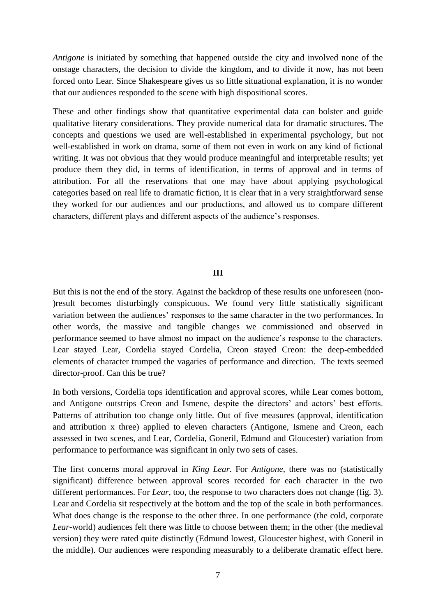*Antigone* is initiated by something that happened outside the city and involved none of the onstage characters, the decision to divide the kingdom, and to divide it now, has not been forced onto Lear. Since Shakespeare gives us so little situational explanation, it is no wonder that our audiences responded to the scene with high dispositional scores.

These and other findings show that quantitative experimental data can bolster and guide qualitative literary considerations. They provide numerical data for dramatic structures. The concepts and questions we used are well-established in experimental psychology, but not well-established in work on drama, some of them not even in work on any kind of fictional writing. It was not obvious that they would produce meaningful and interpretable results; yet produce them they did, in terms of identification, in terms of approval and in terms of attribution. For all the reservations that one may have about applying psychological categories based on real life to dramatic fiction, it is clear that in a very straightforward sense they worked for our audiences and our productions, and allowed us to compare different characters, different plays and different aspects of the audience's responses.

### **III**

But this is not the end of the story. Against the backdrop of these results one unforeseen (non- )result becomes disturbingly conspicuous. We found very little statistically significant variation between the audiences' responses to the same character in the two performances. In other words, the massive and tangible changes we commissioned and observed in performance seemed to have almost no impact on the audience's response to the characters. Lear stayed Lear, Cordelia stayed Cordelia, Creon stayed Creon: the deep-embedded elements of character trumped the vagaries of performance and direction. The texts seemed director-proof. Can this be true?

In both versions, Cordelia tops identification and approval scores, while Lear comes bottom, and Antigone outstrips Creon and Ismene, despite the directors' and actors' best efforts. Patterns of attribution too change only little. Out of five measures (approval, identification and attribution x three) applied to eleven characters (Antigone, Ismene and Creon, each assessed in two scenes, and Lear, Cordelia, Goneril, Edmund and Gloucester) variation from performance to performance was significant in only two sets of cases.

The first concerns moral approval in *King Lear*. For *Antigone*, there was no (statistically significant) difference between approval scores recorded for each character in the two different performances. For *Lear*, too, the response to two characters does not change (fig. 3). Lear and Cordelia sit respectively at the bottom and the top of the scale in both performances. What does change is the response to the other three. In one performance (the cold, corporate *Lear*-world) audiences felt there was little to choose between them; in the other (the medieval version) they were rated quite distinctly (Edmund lowest, Gloucester highest, with Goneril in the middle). Our audiences were responding measurably to a deliberate dramatic effect here.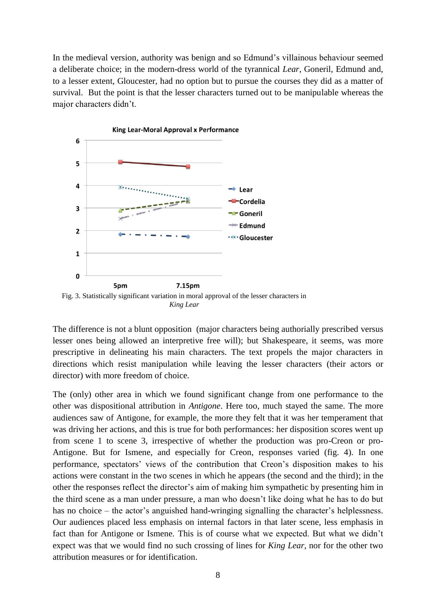In the medieval version, authority was benign and so Edmund's villainous behaviour seemed a deliberate choice; in the modern-dress world of the tyrannical *Lear*, Goneril, Edmund and, to a lesser extent, Gloucester, had no option but to pursue the courses they did as a matter of survival. But the point is that the lesser characters turned out to be manipulable whereas the major characters didn't.



The difference is not a blunt opposition (major characters being authorially prescribed versus lesser ones being allowed an interpretive free will); but Shakespeare, it seems, was more prescriptive in delineating his main characters. The text propels the major characters in directions which resist manipulation while leaving the lesser characters (their actors or director) with more freedom of choice.

The (only) other area in which we found significant change from one performance to the other was dispositional attribution in *Antigone*. Here too, much stayed the same. The more audiences saw of Antigone, for example, the more they felt that it was her temperament that was driving her actions, and this is true for both performances: her disposition scores went up from scene 1 to scene 3, irrespective of whether the production was pro-Creon or pro-Antigone. But for Ismene, and especially for Creon, responses varied (fig. 4). In one performance, spectators' views of the contribution that Creon's disposition makes to his actions were constant in the two scenes in which he appears (the second and the third); in the other the responses reflect the director's aim of making him sympathetic by presenting him in the third scene as a man under pressure, a man who doesn't like doing what he has to do but has no choice – the actor's anguished hand-wringing signalling the character's helplessness. Our audiences placed less emphasis on internal factors in that later scene, less emphasis in fact than for Antigone or Ismene. This is of course what we expected. But what we didn't expect was that we would find no such crossing of lines for *King Lear*, nor for the other two attribution measures or for identification.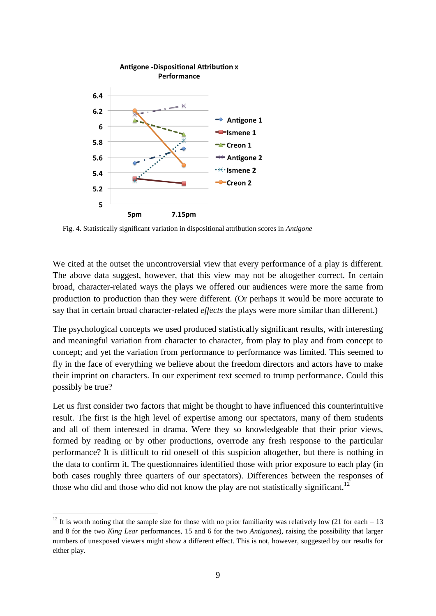

Fig. 4. Statistically significant variation in dispositional attribution scores in *Antigone*

We cited at the outset the uncontroversial view that every performance of a play is different. The above data suggest, however, that this view may not be altogether correct. In certain broad, character-related ways the plays we offered our audiences were more the same from production to production than they were different. (Or perhaps it would be more accurate to say that in certain broad character-related *effects* the plays were more similar than different.)

The psychological concepts we used produced statistically significant results, with interesting and meaningful variation from character to character, from play to play and from concept to concept; and yet the variation from performance to performance was limited. This seemed to fly in the face of everything we believe about the freedom directors and actors have to make their imprint on characters. In our experiment text seemed to trump performance. Could this possibly be true?

Let us first consider two factors that might be thought to have influenced this counterintuitive result. The first is the high level of expertise among our spectators, many of them students and all of them interested in drama. Were they so knowledgeable that their prior views, formed by reading or by other productions, overrode any fresh response to the particular performance? It is difficult to rid oneself of this suspicion altogether, but there is nothing in the data to confirm it. The questionnaires identified those with prior exposure to each play (in both cases roughly three quarters of our spectators). Differences between the responses of those who did and those who did not know the play are not statistically significant.<sup>12</sup>

1

<sup>&</sup>lt;sup>12</sup> It is worth noting that the sample size for those with no prior familiarity was relatively low (21 for each  $-13$ ) and 8 for the two *King Lear* performances, 15 and 6 for the two *Antigones*), raising the possibility that larger numbers of unexposed viewers might show a different effect. This is not, however, suggested by our results for either play.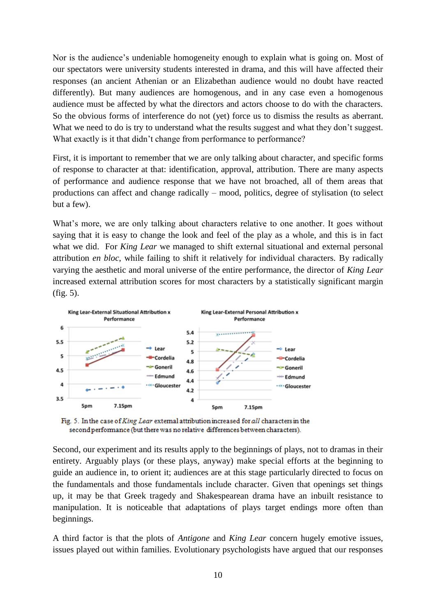Nor is the audience's undeniable homogeneity enough to explain what is going on. Most of our spectators were university students interested in drama, and this will have affected their responses (an ancient Athenian or an Elizabethan audience would no doubt have reacted differently). But many audiences are homogenous, and in any case even a homogenous audience must be affected by what the directors and actors choose to do with the characters. So the obvious forms of interference do not (yet) force us to dismiss the results as aberrant. What we need to do is try to understand what the results suggest and what they don't suggest. What exactly is it that didn't change from performance to performance?

First, it is important to remember that we are only talking about character, and specific forms of response to character at that: identification, approval, attribution. There are many aspects of performance and audience response that we have not broached, all of them areas that productions can affect and change radically – mood, politics, degree of stylisation (to select but a few).

What's more, we are only talking about characters relative to one another. It goes without saying that it is easy to change the look and feel of the play as a whole, and this is in fact what we did. For *King Lear* we managed to shift external situational and external personal attribution *en bloc*, while failing to shift it relatively for individual characters. By radically varying the aesthetic and moral universe of the entire performance, the director of *King Lear* increased external attribution scores for most characters by a statistically significant margin (fig. 5).



Fig. 5. In the case of King Lear external attribution increased for all characters in the second performance (but there was no relative differences between characters).

Second, our experiment and its results apply to the beginnings of plays, not to dramas in their entirety. Arguably plays (or these plays, anyway) make special efforts at the beginning to guide an audience in, to orient it; audiences are at this stage particularly directed to focus on the fundamentals and those fundamentals include character. Given that openings set things up, it may be that Greek tragedy and Shakespearean drama have an inbuilt resistance to manipulation. It is noticeable that adaptations of plays target endings more often than beginnings.

A third factor is that the plots of *Antigone* and *King Lear* concern hugely emotive issues, issues played out within families. Evolutionary psychologists have argued that our responses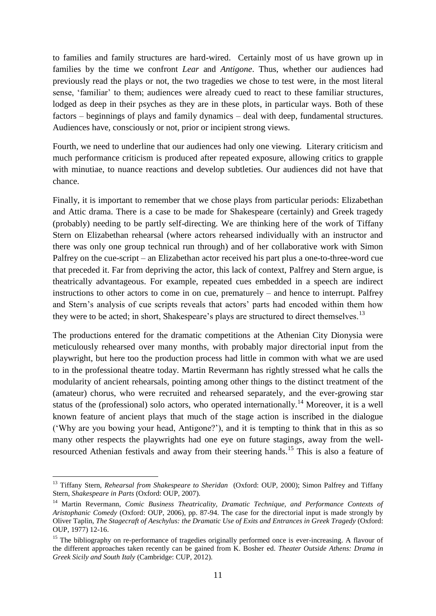to families and family structures are hard-wired. Certainly most of us have grown up in families by the time we confront *Lear* and *Antigone*. Thus, whether our audiences had previously read the plays or not, the two tragedies we chose to test were, in the most literal sense, 'familiar' to them; audiences were already cued to react to these familiar structures, lodged as deep in their psyches as they are in these plots, in particular ways. Both of these factors – beginnings of plays and family dynamics – deal with deep, fundamental structures. Audiences have, consciously or not, prior or incipient strong views.

Fourth, we need to underline that our audiences had only one viewing. Literary criticism and much performance criticism is produced after repeated exposure, allowing critics to grapple with minutiae, to nuance reactions and develop subtleties. Our audiences did not have that chance.

Finally, it is important to remember that we chose plays from particular periods: Elizabethan and Attic drama. There is a case to be made for Shakespeare (certainly) and Greek tragedy (probably) needing to be partly self-directing. We are thinking here of the work of Tiffany Stern on Elizabethan rehearsal (where actors rehearsed individually with an instructor and there was only one group technical run through) and of her collaborative work with Simon Palfrey on the cue-script – an Elizabethan actor received his part plus a one-to-three-word cue that preceded it. Far from depriving the actor, this lack of context, Palfrey and Stern argue, is theatrically advantageous. For example, repeated cues embedded in a speech are indirect instructions to other actors to come in on cue, prematurely – and hence to interrupt. Palfrey and Stern's analysis of cue scripts reveals that actors' parts had encoded within them how they were to be acted; in short, Shakespeare's plays are structured to direct themselves.<sup>13</sup>

The productions entered for the dramatic competitions at the Athenian City Dionysia were meticulously rehearsed over many months, with probably major directorial input from the playwright, but here too the production process had little in common with what we are used to in the professional theatre today. Martin Revermann has rightly stressed what he calls the modularity of ancient rehearsals, pointing among other things to the distinct treatment of the (amateur) chorus, who were recruited and rehearsed separately, and the ever-growing star status of the (professional) solo actors, who operated internationally.<sup>14</sup> Moreover, it is a well known feature of ancient plays that much of the stage action is inscribed in the dialogue ('Why are you bowing your head, Antigone?'), and it is tempting to think that in this as so many other respects the playwrights had one eye on future stagings, away from the wellresourced Athenian festivals and away from their steering hands.<sup>15</sup> This is also a feature of

<sup>13</sup> Tiffany Stern, *Rehearsal from Shakespeare to Sheridan* (Oxford: OUP, 2000); Simon Palfrey and Tiffany Stern, *Shakespeare in Parts* (Oxford: OUP, 2007).

<sup>&</sup>lt;sup>14</sup> Martin Revermann, *Comic Business Theatricality, Dramatic Technique, and Performance Contexts of Aristophanic Comedy* (Oxford: OUP, 2006), pp. 87-94. The case for the directorial input is made strongly by Oliver Taplin, *The Stagecraft of Aeschylus: the Dramatic Use of Exits and Entrances in Greek Tragedy* (Oxford: OUP, 1977) 12-16.

<sup>&</sup>lt;sup>15</sup> The bibliography on re-performance of tragedies originally performed once is ever-increasing. A flavour of the different approaches taken recently can be gained from K. Bosher ed. *Theater Outside Athens: Drama in Greek Sicily and South Italy* (Cambridge: CUP, 2012).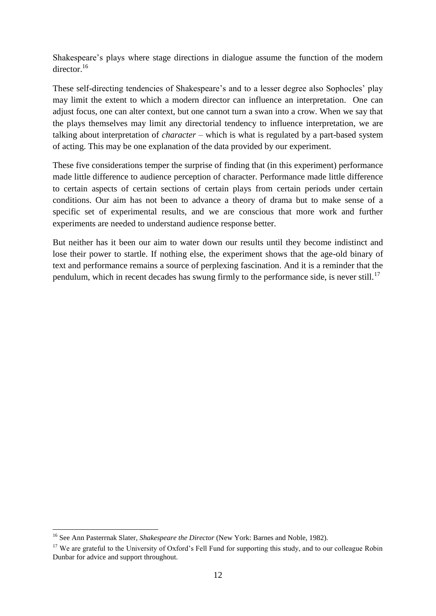Shakespeare's plays where stage directions in dialogue assume the function of the modern director.<sup>16</sup>

These self-directing tendencies of Shakespeare's and to a lesser degree also Sophocles' play may limit the extent to which a modern director can influence an interpretation. One can adjust focus, one can alter context, but one cannot turn a swan into a crow. When we say that the plays themselves may limit any directorial tendency to influence interpretation, we are talking about interpretation of *character* – which is what is regulated by a part-based system of acting. This may be one explanation of the data provided by our experiment.

These five considerations temper the surprise of finding that (in this experiment) performance made little difference to audience perception of character. Performance made little difference to certain aspects of certain sections of certain plays from certain periods under certain conditions. Our aim has not been to advance a theory of drama but to make sense of a specific set of experimental results, and we are conscious that more work and further experiments are needed to understand audience response better.

But neither has it been our aim to water down our results until they become indistinct and lose their power to startle. If nothing else, the experiment shows that the age-old binary of text and performance remains a source of perplexing fascination. And it is a reminder that the pendulum, which in recent decades has swung firmly to the performance side, is never still.<sup>17</sup>

<sup>16</sup> See Ann Pasterrnak Slater, *Shakespeare the Director* (New York: Barnes and Noble, 1982).

<sup>&</sup>lt;sup>17</sup> We are grateful to the University of Oxford's Fell Fund for supporting this study, and to our colleague Robin Dunbar for advice and support throughout.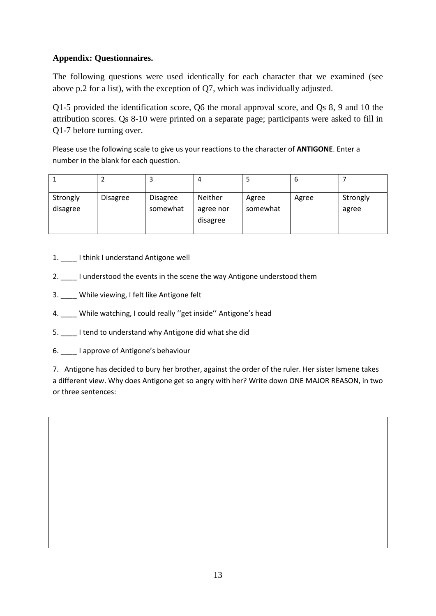# **Appendix: Questionnaires.**

The following questions were used identically for each character that we examined (see above p.2 for a list), with the exception of Q7, which was individually adjusted.

Q1-5 provided the identification score, Q6 the moral approval score, and Qs 8, 9 and 10 the attribution scores. Qs 8-10 were printed on a separate page; participants were asked to fill in Q1-7 before turning over.

Please use the following scale to give us your reactions to the character of **ANTIGONE**. Enter a number in the blank for each question.

|                      |                 | з                           | 4                                |                   | b     |                   |
|----------------------|-----------------|-----------------------------|----------------------------------|-------------------|-------|-------------------|
| Strongly<br>disagree | <b>Disagree</b> | <b>Disagree</b><br>somewhat | Neither<br>agree nor<br>disagree | Agree<br>somewhat | Agree | Strongly<br>agree |

- 1. \_\_\_\_ I think I understand Antigone well
- 2. \_\_\_\_ I understood the events in the scene the way Antigone understood them
- 3. \_\_\_\_ While viewing, I felt like Antigone felt
- 4. While watching, I could really "get inside" Antigone's head
- 5. \_\_\_\_ I tend to understand why Antigone did what she did
- 6. \_\_\_\_ I approve of Antigone's behaviour

7. Antigone has decided to bury her brother, against the order of the ruler. Her sister Ismene takes a different view. Why does Antigone get so angry with her? Write down ONE MAJOR REASON, in two or three sentences: